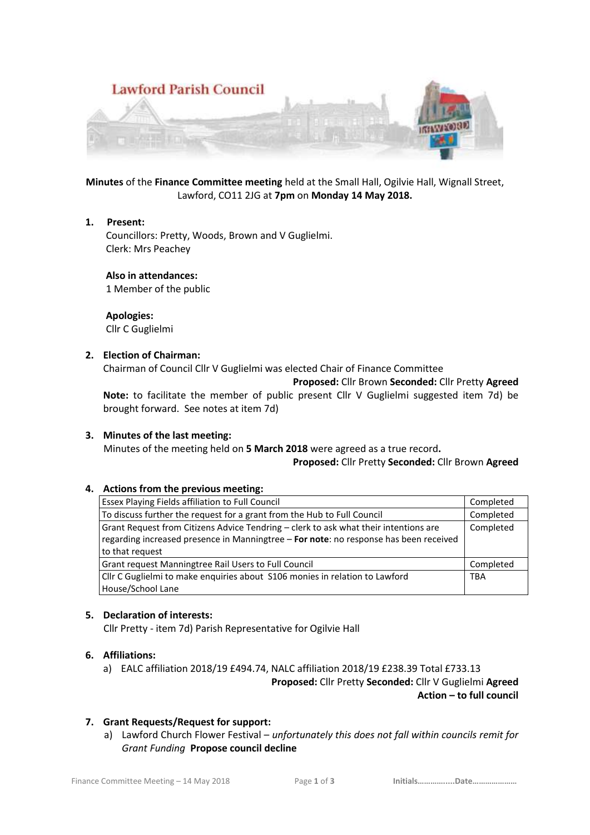

**Minutes** of the **Finance Committee meeting** held at the Small Hall, Ogilvie Hall, Wignall Street, Lawford, CO11 2JG at **7pm** on **Monday 14 May 2018.**

### **1. Present:**

 Councillors: Pretty, Woods, Brown and V Guglielmi. Clerk: Mrs Peachey

 **Also in attendances:**

1 Member of the public

 **Apologies:** Cllr C Guglielmi

## **2. Election of Chairman:**

Chairman of Council Cllr V Guglielmi was elected Chair of Finance Committee

**Proposed:** Cllr Brown **Seconded:** Cllr Pretty **Agreed**

**Note:** to facilitate the member of public present Cllr V Guglielmi suggested item 7d) be brought forward.See notes at item 7d)

### **3. Minutes of the last meeting:**

Minutes of the meeting held on **5 March 2018** were agreed as a true record**.**

**Proposed:** Cllr Pretty **Seconded:** Cllr Brown **Agreed**

### **4. Actions from the previous meeting:**

| Essex Playing Fields affiliation to Full Council                                      | Completed  |
|---------------------------------------------------------------------------------------|------------|
| To discuss further the request for a grant from the Hub to Full Council               | Completed  |
| Grant Request from Citizens Advice Tendring - clerk to ask what their intentions are  | Completed  |
| regarding increased presence in Manningtree - For note: no response has been received |            |
| to that request                                                                       |            |
| Grant request Manningtree Rail Users to Full Council                                  | Completed  |
| Cllr C Guglielmi to make enquiries about S106 monies in relation to Lawford           | <b>TBA</b> |
| House/School Lane                                                                     |            |

### **5. Declaration of interests:**

Cllr Pretty - item 7d) Parish Representative for Ogilvie Hall

### **6. Affiliations:**

a) EALC affiliation 2018/19 £494.74, NALC affiliation 2018/19 £238.39 Total £733.13

**Proposed:** Cllr Pretty **Seconded:** Cllr V Guglielmi **Agreed Action – to full council** 

# **7. Grant Requests/Request for support:**

a) Lawford Church Flower Festival – *unfortunately this does not fall within councils remit for Grant Funding* **Propose council decline**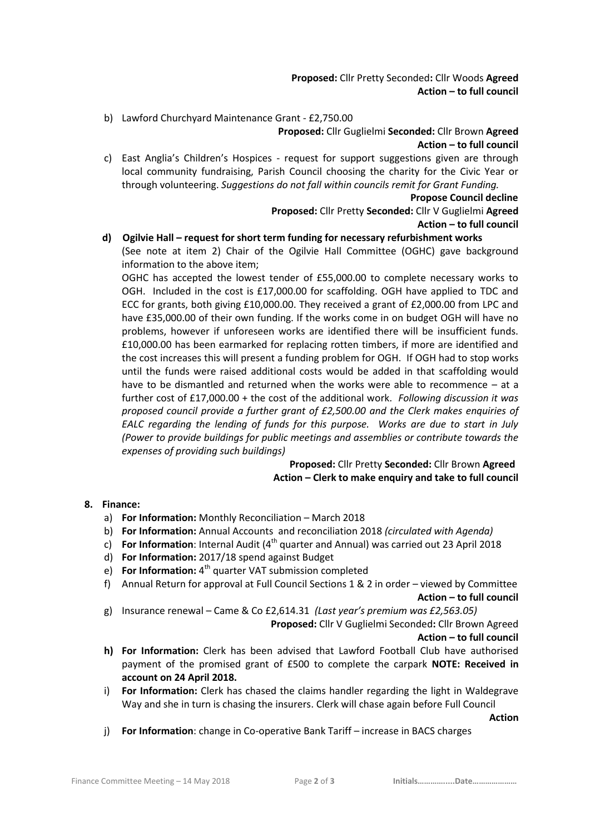**Proposed:** Cllr Pretty Seconded**:** Cllr Woods **Agreed Action – to full council** 

b) Lawford Churchyard Maintenance Grant - £2,750.00

**Proposed:** Cllr Guglielmi **Seconded:** Cllr Brown **Agreed Action – to full council** 

c) East Anglia's Children's Hospices - request for support suggestions given are through local community fundraising, Parish Council choosing the charity for the Civic Year or through volunteering. *Suggestions do not fall within councils remit for Grant Funding.*

**Propose Council decline**

**Proposed:** Cllr Pretty **Seconded:** Cllr V Guglielmi **Agreed Action – to full council** 

# **d) Ogilvie Hall – request for short term funding for necessary refurbishment works**

(See note at item 2) Chair of the Ogilvie Hall Committee (OGHC) gave background information to the above item;

OGHC has accepted the lowest tender of £55,000.00 to complete necessary works to OGH. Included in the cost is £17,000.00 for scaffolding. OGH have applied to TDC and ECC for grants, both giving £10,000.00. They received a grant of £2,000.00 from LPC and have £35,000.00 of their own funding. If the works come in on budget OGH will have no problems, however if unforeseen works are identified there will be insufficient funds. £10,000.00 has been earmarked for replacing rotten timbers, if more are identified and the cost increases this will present a funding problem for OGH. If OGH had to stop works until the funds were raised additional costs would be added in that scaffolding would have to be dismantled and returned when the works were able to recommence – at a further cost of £17,000.00 + the cost of the additional work. *Following discussion it was proposed council provide a further grant of £2,500.00 and the Clerk makes enquiries of EALC regarding the lending of funds for this purpose. Works are due to start in July (Power to provide buildings for public meetings and assemblies or contribute towards the expenses of providing such buildings)*

> **Proposed:** Cllr Pretty **Seconded:** Cllr Brown **Agreed Action – Clerk to make enquiry and take to full council**

### **8. Finance:**

- a) **For Information:** Monthly Reconciliation March 2018
- b) **For Information:** Annual Accounts and reconciliation 2018 *(circulated with Agenda)*
- c) **For Information**: Internal Audit (4th quarter and Annual) was carried out 23 April 2018
- d) **For Information:** 2017/18 spend against Budget
- e) **For Information:** 4<sup>th</sup> quarter VAT submission completed
- f) Annual Return for approval at Full Council Sections 1 & 2 in order viewed by Committee **Action – to full council**
- g) Insurance renewal Came & Co £2,614.31 *(Last year's premium was £2,563.05)*

**Proposed:** Cllr V Guglielmi Seconded**:** Cllr Brown Agreed

**Action – to full council** 

- **h) For Information:** Clerk has been advised that Lawford Football Club have authorised payment of the promised grant of £500 to complete the carpark **NOTE: Received in account on 24 April 2018.**
- i) **For Information:** Clerk has chased the claims handler regarding the light in Waldegrave Way and she in turn is chasing the insurers. Clerk will chase again before Full Council

*Action* 

j) **For Information**: change in Co-operative Bank Tariff – increase in BACS charges